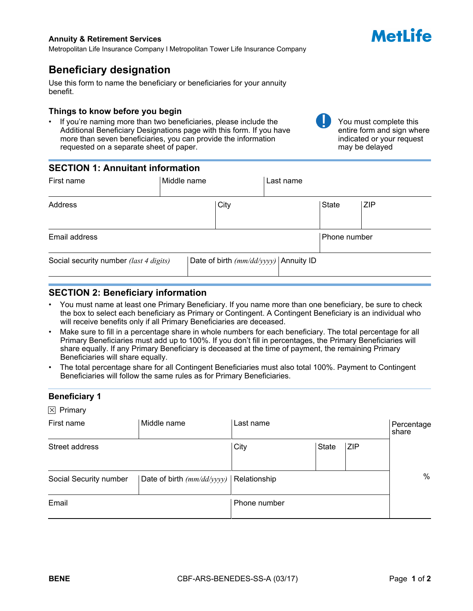#### **Annuity & Retirement Services**

Metropolitan Life Insurance Company l Metropolitan Tower Life Insurance Company

# **Beneficiary designation**

Use this form to name the beneficiary or beneficiaries for your annuity benefit.

#### **Things to know before you begin**

If you're naming more than two beneficiaries, please include the Additional Beneficiary Designations page with this form. If you have more than seven beneficiaries, you can provide the information requested on a separate sheet of paper.

## **SECTION 1: Annuitant information**

| Middle name | Last name                                                                       |
|-------------|---------------------------------------------------------------------------------|
| City        | <b>State</b><br>ZIP                                                             |
|             | Phone number                                                                    |
|             |                                                                                 |
|             | Date of birth (mm/dd/yyyy) Annuity ID<br>Social security number (last 4 digits) |

## **SECTION 2: Beneficiary information**

- You must name at least one Primary Beneficiary. If you name more than one beneficiary, be sure to check the box to select each beneficiary as Primary or Contingent. A Contingent Beneficiary is an individual who will receive benefits only if all Primary Beneficiaries are deceased.
- Make sure to fill in a percentage share in whole numbers for each beneficiary. The total percentage for all Primary Beneficiaries must add up to 100%. If you don't fill in percentages, the Primary Beneficiaries will share equally. If any Primary Beneficiary is deceased at the time of payment, the remaining Primary Beneficiaries will share equally.
- The total percentage share for all Contingent Beneficiaries must also total 100%. Payment to Contingent Beneficiaries will follow the same rules as for Primary Beneficiaries.

#### **Beneficiary 1**

 $\boxtimes$  Primary

| First name             | Middle name                  | Last name    |                            | Percentage<br>share |
|------------------------|------------------------------|--------------|----------------------------|---------------------|
| Street address         |                              | City         | <b>State</b><br><b>ZIP</b> |                     |
| Social Security number | Date of birth $(mm/dd/yyyy)$ | Relationship |                            | %                   |
| Email                  |                              | Phone number |                            |                     |

Metl ife

You must complete this entire form and sign where indicated or your request

may be delayed